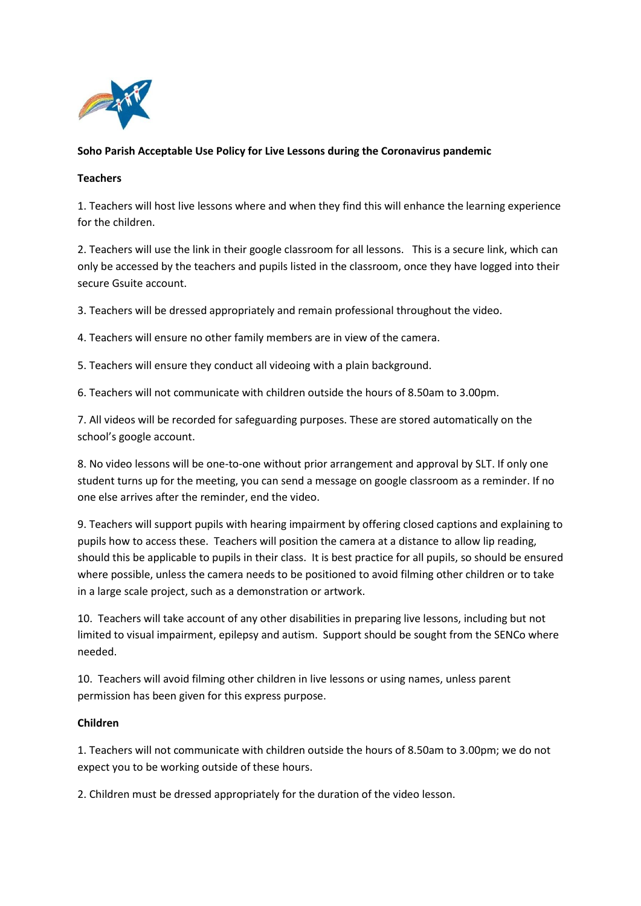

# **Soho Parish Acceptable Use Policy for Live Lessons during the Coronavirus pandemic**

## **Teachers**

1. Teachers will host live lessons where and when they find this will enhance the learning experience for the children.

2. Teachers will use the link in their google classroom for all lessons. This is a secure link, which can only be accessed by the teachers and pupils listed in the classroom, once they have logged into their secure Gsuite account.

3. Teachers will be dressed appropriately and remain professional throughout the video.

4. Teachers will ensure no other family members are in view of the camera.

5. Teachers will ensure they conduct all videoing with a plain background.

6. Teachers will not communicate with children outside the hours of 8.50am to 3.00pm.

7. All videos will be recorded for safeguarding purposes. These are stored automatically on the school's google account.

8. No video lessons will be one-to-one without prior arrangement and approval by SLT. If only one student turns up for the meeting, you can send a message on google classroom as a reminder. If no one else arrives after the reminder, end the video.

9. Teachers will support pupils with hearing impairment by offering closed captions and explaining to pupils how to access these. Teachers will position the camera at a distance to allow lip reading, should this be applicable to pupils in their class. It is best practice for all pupils, so should be ensured where possible, unless the camera needs to be positioned to avoid filming other children or to take in a large scale project, such as a demonstration or artwork.

10. Teachers will take account of any other disabilities in preparing live lessons, including but not limited to visual impairment, epilepsy and autism. Support should be sought from the SENCo where needed.

10. Teachers will avoid filming other children in live lessons or using names, unless parent permission has been given for this express purpose.

### **Children**

1. Teachers will not communicate with children outside the hours of 8.50am to 3.00pm; we do not expect you to be working outside of these hours.

2. Children must be dressed appropriately for the duration of the video lesson.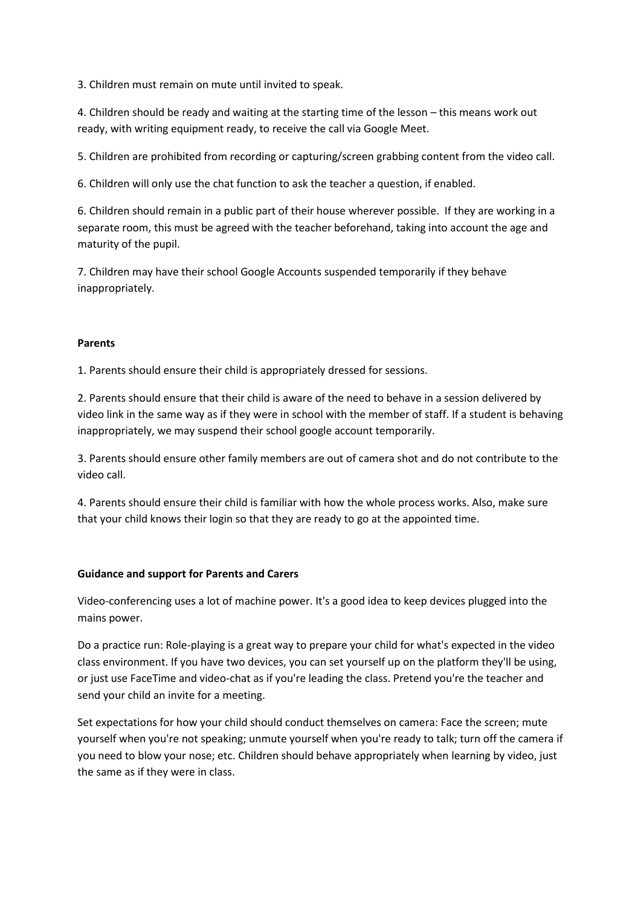3. Children must remain on mute until invited to speak.

4. Children should be ready and waiting at the starting time of the lesson – this means work out ready, with writing equipment ready, to receive the call via Google Meet.

5. Children are prohibited from recording or capturing/screen grabbing content from the video call.

6. Children will only use the chat function to ask the teacher a question, if enabled.

6. Children should remain in a public part of their house wherever possible. If they are working in a separate room, this must be agreed with the teacher beforehand, taking into account the age and maturity of the pupil.

7. Children may have their school Google Accounts suspended temporarily if they behave inappropriately.

### **Parents**

1. Parents should ensure their child is appropriately dressed for sessions.

2. Parents should ensure that their child is aware of the need to behave in a session delivered by video link in the same way as if they were in school with the member of staff. If a student is behaving inappropriately, we may suspend their school google account temporarily.

3. Parents should ensure other family members are out of camera shot and do not contribute to the video call.

4. Parents should ensure their child is familiar with how the whole process works. Also, make sure that your child knows their login so that they are ready to go at the appointed time.

### **Guidance and support for Parents and Carers**

Video-conferencing uses a lot of machine power. It's a good idea to keep devices plugged into the mains power.

Do a practice run: Role-playing is a great way to prepare your child for what's expected in the video class environment. If you have two devices, you can set yourself up on the platform they'll be using, or just use FaceTime and video-chat as if you're leading the class. Pretend you're the teacher and send your child an invite for a meeting.

Set expectations for how your child should conduct themselves on camera: Face the screen; mute yourself when you're not speaking; unmute yourself when you're ready to talk; turn off the camera if you need to blow your nose; etc. Children should behave appropriately when learning by video, just the same as if they were in class.